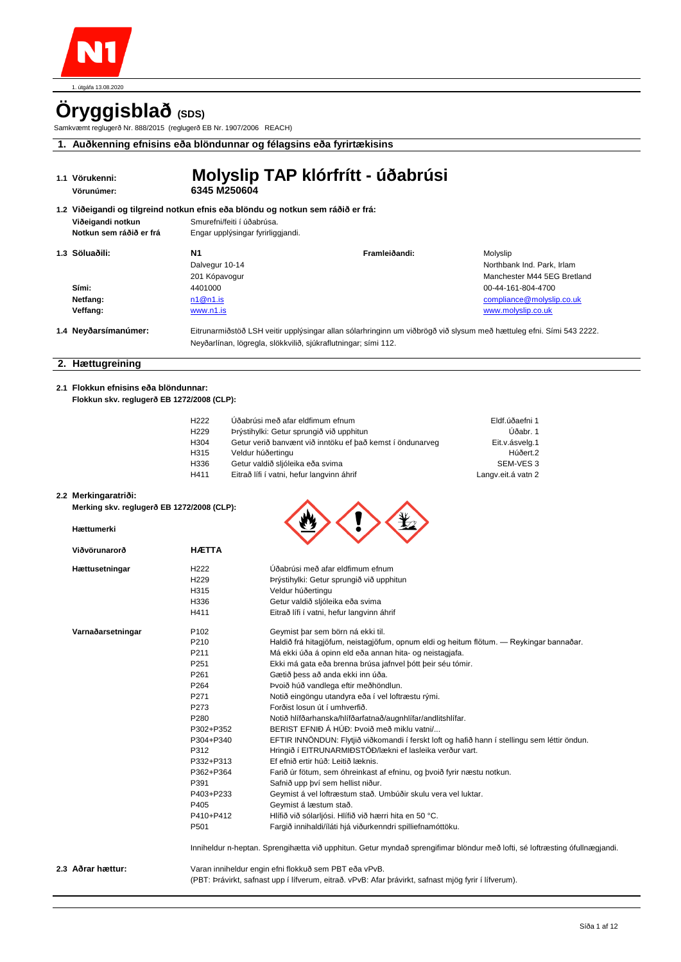

# **Öryggisblað (SDS)**

Samkvæmt reglugerð Nr. 888/2015 (reglugerð EB Nr. 1907/2006 REACH)

**1. Auðkenning efnisins eða blöndunnar og félagsins eða fyrirtækisins**

| 1.1 Vörukenni:<br>Vörunúmer:                 | Molyslip TAP klórfrítt - úðabrúsi<br>6345 M250604                                                                                                                                     |               |                                                                       |
|----------------------------------------------|---------------------------------------------------------------------------------------------------------------------------------------------------------------------------------------|---------------|-----------------------------------------------------------------------|
| Viðeigandi notkun<br>Notkun sem ráðið er frá | 1.2 Viðeigandi og tilgreind notkun efnis eða blöndu og notkun sem ráðið er frá:<br>Smurefni/feiti í úðabrúsa.<br>Engar upplýsingar fyrirliggjandi.                                    |               |                                                                       |
| 1.3 Söluaðili:                               | N <sub>1</sub><br>Dalvegur 10-14<br>201 Kópavogur                                                                                                                                     | Framleiðandi: | Molyslip<br>Northbank Ind. Park. Irlam<br>Manchester M44 5EG Bretland |
| Sími:<br>Netfang:<br>Veffang:                | 4401000<br>n1@n1.is<br>www.n1.is                                                                                                                                                      |               | 00-44-161-804-4700<br>compliance@molyslip.co.uk<br>www.molyslip.co.uk |
| 1.4 Neyðarsímanúmer:                         | Eitrunarmiðstöð LSH veitir upplýsingar allan sólarhringinn um viðbrögð við slysum með hættuleg efni. Sími 543 2222.<br>Neyðarlínan, lögregla, slökkvilið, sjúkraflutningar; sími 112. |               |                                                                       |

### **2. Hættugreining**

**2.1 Flokkun efnisins eða blöndunnar: Flokkun skv. reglugerð EB 1272/2008 (CLP):** 

| H <sub>222</sub> | Úðabrúsi með afar eldfimum efnum                          | Eldf.úðaefni 1     |
|------------------|-----------------------------------------------------------|--------------------|
| H <sub>229</sub> | Þrýstihylki: Getur sprungið við upphitun                  | Úðabr. 1           |
| H304             | Getur verið banvænt við inntöku ef það kemst í öndunarveg | Eit.v.ásvelg.1     |
| H315             | Veldur húðertingu                                         | Húðert.2           |
| H336             | Getur valdið sljóleika eða svima                          | SEM-VES 3          |
| H411             | Eitrað lífi í vatni, hefur langvinn áhrif                 | Langv.eit.á vatn 2 |

 $\wedge$   $\wedge$   $\wedge$ 

#### **2.2 Merkingaratriði:**

**Hættumerki Viðvörunarorð** Hættusetningar

Varnaðarsetningar

**Merking skv. reglugerð EB 1272/2008 (CLP):** 

| <b>HÆTTA</b>     |                                                                                              |
|------------------|----------------------------------------------------------------------------------------------|
| H <sub>222</sub> | Úðabrúsi með afar eldfimum efnum                                                             |
| H <sub>229</sub> | Þrýstihylki: Getur sprungið við upphitun                                                     |
| H315             | Veldur húðertingu                                                                            |
| H336             | Getur valdið sljóleika eða svima                                                             |
| H411             | Eitrað lífi í vatni, hefur langvinn áhrif                                                    |
| P <sub>102</sub> | Geymist bar sem börn ná ekki til.                                                            |
| P210             | Haldið frá hitagjöfum, neistagjöfum, opnum eldi og heitum flötum. — Reykingar bannaðar.      |
| P <sub>211</sub> | Má ekki úða á opinn eld eða annan hita- og neistagjafa.                                      |
| P <sub>251</sub> | Ekki má gata eða brenna brúsa jafnvel þótt þeir séu tómir.                                   |
| P <sub>261</sub> | Gætið þess að anda ekki inn úða.                                                             |
| P <sub>264</sub> | Þvoið húð vandlega eftir meðhöndlun.                                                         |
| P271             | Notið eingöngu utandyra eða í vel loftræstu rými.                                            |
| P273             | Forðist losun út í umhverfið.                                                                |
| P <sub>280</sub> | Notið hlífðarhanska/hlífðarfatnað/augnhlífar/andlitshlífar.                                  |
| P302+P352        | BERIST EFNIÐ Á HÚÐ: Þvoið með miklu vatni/                                                   |
| P304+P340        | EFTIR INNÖNDUN: Flytjið viðkomandi í ferskt loft og hafið hann í stellingu sem léttir öndun. |

P312 Hringið í EITRUNARMIÐSTÖÐ/lækni ef lasleika verður vart.<br>P332+P313 Ef efnið ertir húð: Leitið læknis. Ef efnið ertir húð: Leitið læknis.

P403+P233 Geymist á vel loftræstum stað. Umbúðir skulu vera vel luktar.

Geymist á læstum stað. P410+P412 Hlífið við sólarljósi. Hlífið við hærri hita en 50 °C. P501 Fargið innihaldi/íláti hjá viðurkenndri spilliefnamóttöku.

P391 Safnið upp því sem hellist niður.<br>P403+P233 Geymist á vel loftræstum stað. L

P362+P364 Farið úr fötum, sem óhreinkast af efninu, og þvoið fyrir næstu notkun.

Inniheldur n-heptan. Sprengihætta við upphitun. Getur myndað sprengifimar blöndur með lofti, sé loftræsting ófullnægjandi.

**2.3 Aðrar hættur:** Varan inniheldur engin efni flokkuð sem PBT eða vPvB.

(PBT: Þrávirkt, safnast upp í lífverum, eitrað. vPvB: Afar þrávirkt, safnast mjög fyrir í lífverum).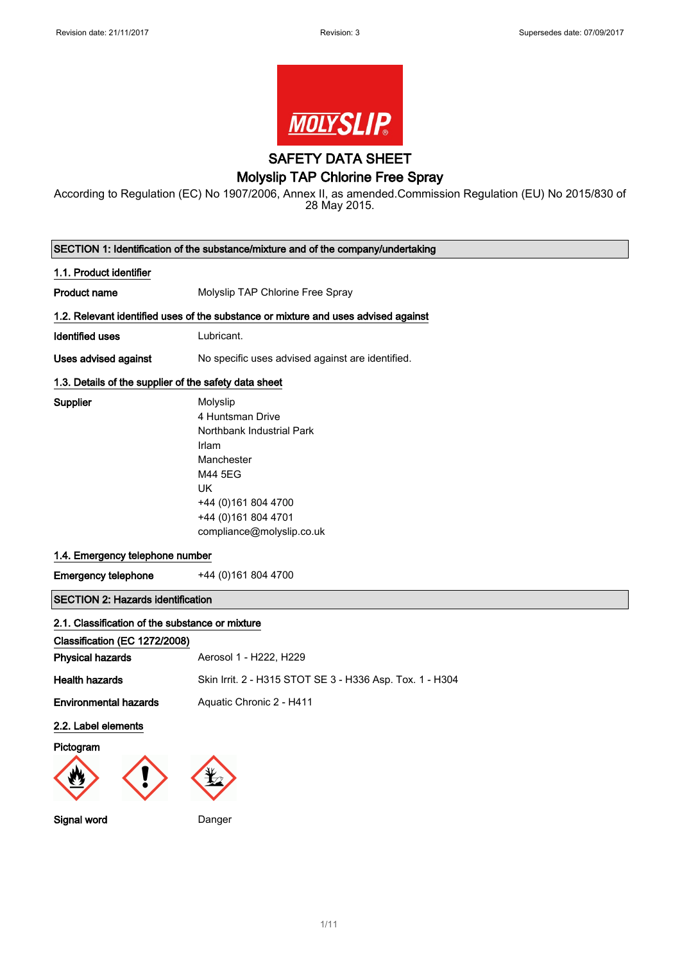

SAFETY DATA SHEET

## Molyslip TAP Chlorine Free Spray

According to Regulation (EC) No 1907/2006, Annex II, as amended.Commission Regulation (EU) No 2015/830 of 28 May 2015.

| SECTION 1: Identification of the substance/mixture and of the company/undertaking |                                                                                                                                                                                      |  |
|-----------------------------------------------------------------------------------|--------------------------------------------------------------------------------------------------------------------------------------------------------------------------------------|--|
| 1.1. Product identifier                                                           |                                                                                                                                                                                      |  |
| <b>Product name</b>                                                               | Molyslip TAP Chlorine Free Spray                                                                                                                                                     |  |
|                                                                                   | 1.2. Relevant identified uses of the substance or mixture and uses advised against                                                                                                   |  |
| <b>Identified uses</b>                                                            | Lubricant.                                                                                                                                                                           |  |
| Uses advised against                                                              | No specific uses advised against are identified.                                                                                                                                     |  |
| 1.3. Details of the supplier of the safety data sheet                             |                                                                                                                                                                                      |  |
| Supplier                                                                          | Molyslip<br>4 Huntsman Drive<br>Northbank Industrial Park<br>Irlam<br>Manchester<br>M44 5EG<br><b>UK</b><br>+44 (0) 161 804 4700<br>+44 (0)161 804 4701<br>compliance@molyslip.co.uk |  |
| 1.4. Emergency telephone number                                                   |                                                                                                                                                                                      |  |
| <b>Emergency telephone</b>                                                        | +44 (0)161 804 4700                                                                                                                                                                  |  |
| <b>SECTION 2: Hazards identification</b>                                          |                                                                                                                                                                                      |  |
| 2.1. Classification of the substance or mixture                                   |                                                                                                                                                                                      |  |
| Classification (EC 1272/2008)                                                     |                                                                                                                                                                                      |  |
| <b>Physical hazards</b>                                                           | Aerosol 1 - H222, H229                                                                                                                                                               |  |
| <b>Health hazards</b>                                                             | Skin Irrit. 2 - H315 STOT SE 3 - H336 Asp. Tox. 1 - H304                                                                                                                             |  |
| <b>Environmental hazards</b>                                                      | Aquatic Chronic 2 - H411                                                                                                                                                             |  |
| 2.2. Label elements                                                               |                                                                                                                                                                                      |  |
| Pictogram                                                                         |                                                                                                                                                                                      |  |
|                                                                                   |                                                                                                                                                                                      |  |
| Signal word                                                                       | Danger                                                                                                                                                                               |  |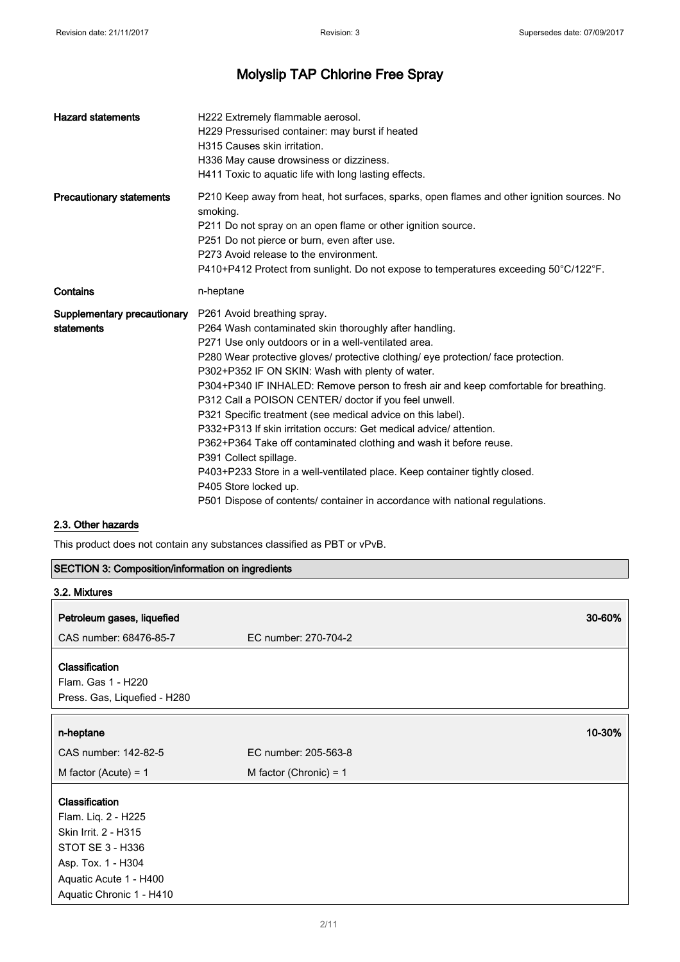| <b>Hazard statements</b>                  | H222 Extremely flammable aerosol.<br>H229 Pressurised container: may burst if heated<br>H315 Causes skin irritation.<br>H336 May cause drowsiness or dizziness.<br>H411 Toxic to aquatic life with long lasting effects.                                                                                                                                                                                                                                                                                                                                                                                                                                                                                                                                                                                                                                              |
|-------------------------------------------|-----------------------------------------------------------------------------------------------------------------------------------------------------------------------------------------------------------------------------------------------------------------------------------------------------------------------------------------------------------------------------------------------------------------------------------------------------------------------------------------------------------------------------------------------------------------------------------------------------------------------------------------------------------------------------------------------------------------------------------------------------------------------------------------------------------------------------------------------------------------------|
| <b>Precautionary statements</b>           | P210 Keep away from heat, hot surfaces, sparks, open flames and other ignition sources. No<br>smoking.<br>P211 Do not spray on an open flame or other ignition source.<br>P251 Do not pierce or burn, even after use.<br>P273 Avoid release to the environment.<br>P410+P412 Protect from sunlight. Do not expose to temperatures exceeding 50°C/122°F.                                                                                                                                                                                                                                                                                                                                                                                                                                                                                                               |
| Contains                                  | n-heptane                                                                                                                                                                                                                                                                                                                                                                                                                                                                                                                                                                                                                                                                                                                                                                                                                                                             |
| Supplementary precautionary<br>statements | P261 Avoid breathing spray.<br>P264 Wash contaminated skin thoroughly after handling.<br>P271 Use only outdoors or in a well-ventilated area.<br>P280 Wear protective gloves/ protective clothing/ eye protection/ face protection.<br>P302+P352 IF ON SKIN: Wash with plenty of water.<br>P304+P340 IF INHALED: Remove person to fresh air and keep comfortable for breathing.<br>P312 Call a POISON CENTER/ doctor if you feel unwell.<br>P321 Specific treatment (see medical advice on this label).<br>P332+P313 If skin irritation occurs: Get medical advice/ attention.<br>P362+P364 Take off contaminated clothing and wash it before reuse.<br>P391 Collect spillage.<br>P403+P233 Store in a well-ventilated place. Keep container tightly closed.<br>P405 Store locked up.<br>P501 Dispose of contents/ container in accordance with national regulations. |

## 2.3. Other hazards

This product does not contain any substances classified as PBT or vPvB.

| <b>SECTION 3: Composition/information on ingredients</b> |                          |  |
|----------------------------------------------------------|--------------------------|--|
| 3.2. Mixtures                                            |                          |  |
| Petroleum gases, liquefied                               | 30-60%                   |  |
| CAS number: 68476-85-7                                   | EC number: 270-704-2     |  |
| Classification                                           |                          |  |
| Flam. Gas 1 - H220                                       |                          |  |
| Press. Gas, Liquefied - H280                             |                          |  |
| n-heptane                                                | 10-30%                   |  |
| CAS number: 142-82-5                                     | EC number: 205-563-8     |  |
| M factor (Acute) = $1$                                   | M factor (Chronic) = $1$ |  |
| Classification                                           |                          |  |
| Flam. Liq. 2 - H225                                      |                          |  |
| Skin Irrit. 2 - H315                                     |                          |  |
| STOT SE 3 - H336                                         |                          |  |
| Asp. Tox. 1 - H304                                       |                          |  |
| Aquatic Acute 1 - H400                                   |                          |  |
| Aquatic Chronic 1 - H410                                 |                          |  |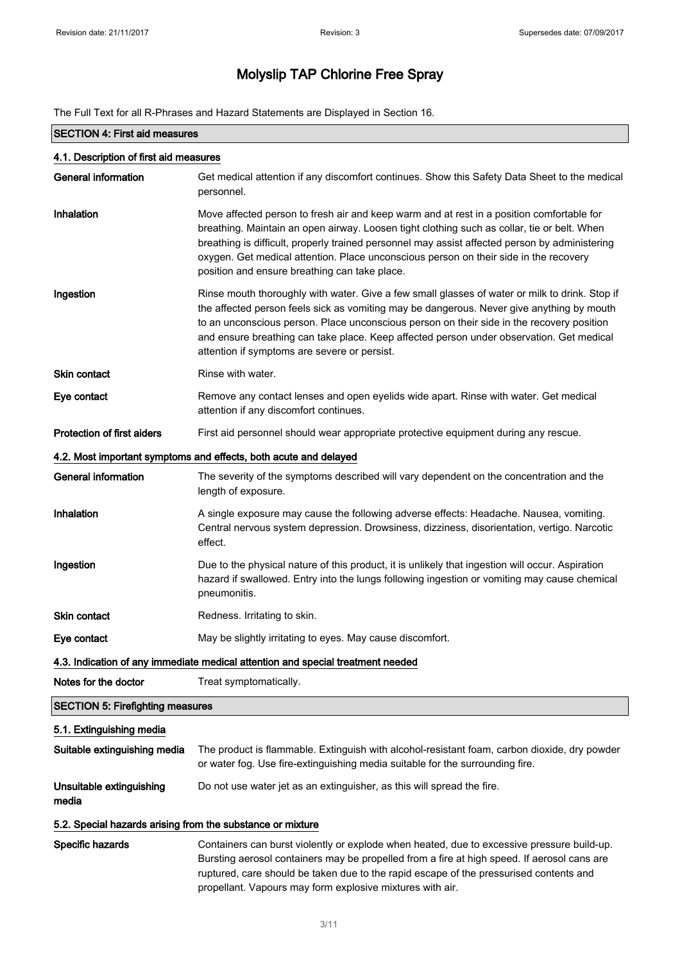The Full Text for all R-Phrases and Hazard Statements are Displayed in Section 16.

| <b>SECTION 4: First aid measures</b>                                                                                                                                                                                                                                                                                                                                                                                                              |                                                                                                                                                                                                                                                                                                                                                                                                                                      |  |  |
|---------------------------------------------------------------------------------------------------------------------------------------------------------------------------------------------------------------------------------------------------------------------------------------------------------------------------------------------------------------------------------------------------------------------------------------------------|--------------------------------------------------------------------------------------------------------------------------------------------------------------------------------------------------------------------------------------------------------------------------------------------------------------------------------------------------------------------------------------------------------------------------------------|--|--|
| 4.1. Description of first aid measures                                                                                                                                                                                                                                                                                                                                                                                                            |                                                                                                                                                                                                                                                                                                                                                                                                                                      |  |  |
| <b>General information</b>                                                                                                                                                                                                                                                                                                                                                                                                                        | Get medical attention if any discomfort continues. Show this Safety Data Sheet to the medical<br>personnel.                                                                                                                                                                                                                                                                                                                          |  |  |
| Inhalation                                                                                                                                                                                                                                                                                                                                                                                                                                        | Move affected person to fresh air and keep warm and at rest in a position comfortable for<br>breathing. Maintain an open airway. Loosen tight clothing such as collar, tie or belt. When<br>breathing is difficult, properly trained personnel may assist affected person by administering<br>oxygen. Get medical attention. Place unconscious person on their side in the recovery<br>position and ensure breathing can take place. |  |  |
| Ingestion<br>Rinse mouth thoroughly with water. Give a few small glasses of water or milk to drink. Stop if<br>the affected person feels sick as vomiting may be dangerous. Never give anything by mouth<br>to an unconscious person. Place unconscious person on their side in the recovery position<br>and ensure breathing can take place. Keep affected person under observation. Get medical<br>attention if symptoms are severe or persist. |                                                                                                                                                                                                                                                                                                                                                                                                                                      |  |  |
| <b>Skin contact</b>                                                                                                                                                                                                                                                                                                                                                                                                                               | Rinse with water.                                                                                                                                                                                                                                                                                                                                                                                                                    |  |  |
| Eye contact                                                                                                                                                                                                                                                                                                                                                                                                                                       | Remove any contact lenses and open eyelids wide apart. Rinse with water. Get medical<br>attention if any discomfort continues.                                                                                                                                                                                                                                                                                                       |  |  |
| Protection of first aiders                                                                                                                                                                                                                                                                                                                                                                                                                        | First aid personnel should wear appropriate protective equipment during any rescue.                                                                                                                                                                                                                                                                                                                                                  |  |  |
|                                                                                                                                                                                                                                                                                                                                                                                                                                                   | 4.2. Most important symptoms and effects, both acute and delayed                                                                                                                                                                                                                                                                                                                                                                     |  |  |
| <b>General information</b>                                                                                                                                                                                                                                                                                                                                                                                                                        | The severity of the symptoms described will vary dependent on the concentration and the<br>length of exposure.                                                                                                                                                                                                                                                                                                                       |  |  |
| Inhalation                                                                                                                                                                                                                                                                                                                                                                                                                                        | A single exposure may cause the following adverse effects: Headache. Nausea, vomiting.<br>Central nervous system depression. Drowsiness, dizziness, disorientation, vertigo. Narcotic<br>effect.                                                                                                                                                                                                                                     |  |  |
| Ingestion                                                                                                                                                                                                                                                                                                                                                                                                                                         | Due to the physical nature of this product, it is unlikely that ingestion will occur. Aspiration<br>hazard if swallowed. Entry into the lungs following ingestion or vomiting may cause chemical<br>pneumonitis.                                                                                                                                                                                                                     |  |  |
| Skin contact                                                                                                                                                                                                                                                                                                                                                                                                                                      | Redness. Irritating to skin.                                                                                                                                                                                                                                                                                                                                                                                                         |  |  |
| Eye contact                                                                                                                                                                                                                                                                                                                                                                                                                                       | May be slightly irritating to eyes. May cause discomfort.                                                                                                                                                                                                                                                                                                                                                                            |  |  |
| 4.3. Indication of any immediate medical attention and special treatment needed                                                                                                                                                                                                                                                                                                                                                                   |                                                                                                                                                                                                                                                                                                                                                                                                                                      |  |  |
| Notes for the doctor                                                                                                                                                                                                                                                                                                                                                                                                                              | Treat symptomatically.                                                                                                                                                                                                                                                                                                                                                                                                               |  |  |
| <b>SECTION 5: Firefighting measures</b>                                                                                                                                                                                                                                                                                                                                                                                                           |                                                                                                                                                                                                                                                                                                                                                                                                                                      |  |  |
| 5.1. Extinguishing media                                                                                                                                                                                                                                                                                                                                                                                                                          |                                                                                                                                                                                                                                                                                                                                                                                                                                      |  |  |
| Suitable extinguishing media                                                                                                                                                                                                                                                                                                                                                                                                                      | The product is flammable. Extinguish with alcohol-resistant foam, carbon dioxide, dry powder<br>or water fog. Use fire-extinguishing media suitable for the surrounding fire.                                                                                                                                                                                                                                                        |  |  |
| Unsuitable extinguishing<br>media                                                                                                                                                                                                                                                                                                                                                                                                                 | Do not use water jet as an extinguisher, as this will spread the fire.                                                                                                                                                                                                                                                                                                                                                               |  |  |
| 5.2. Special hazards arising from the substance or mixture                                                                                                                                                                                                                                                                                                                                                                                        |                                                                                                                                                                                                                                                                                                                                                                                                                                      |  |  |
| Specific hazards                                                                                                                                                                                                                                                                                                                                                                                                                                  | Containers can burst violently or explode when heated, due to excessive pressure build-up.<br>Bursting aerosol containers may be propelled from a fire at high speed. If aerosol cans are<br>ruptured, care should be taken due to the rapid escape of the pressurised contents and<br>propellant. Vapours may form explosive mixtures with air.                                                                                     |  |  |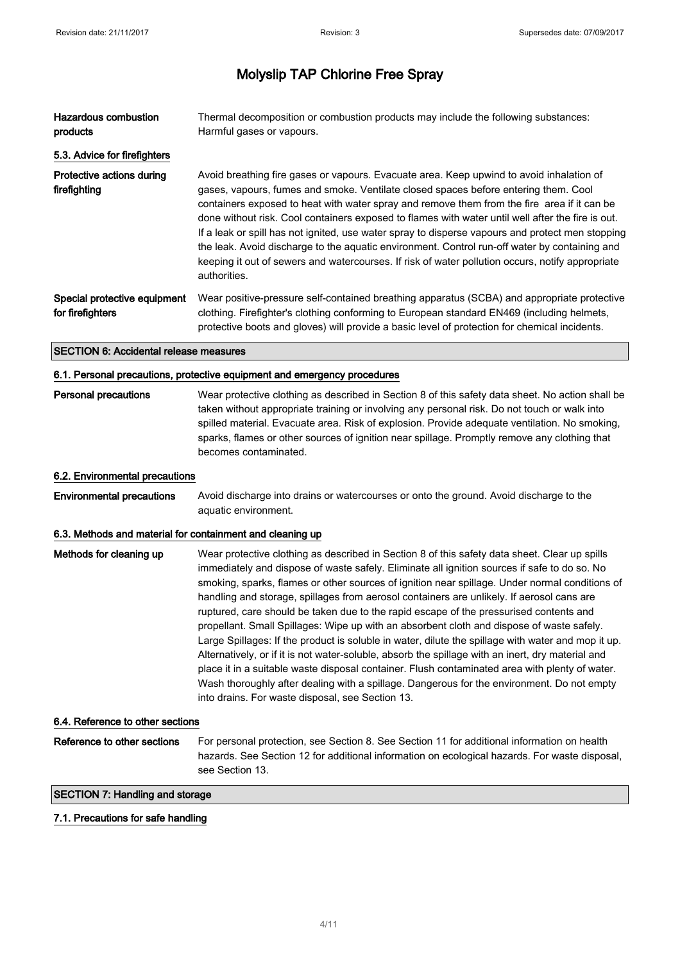| Hazardous combustion<br>products                 | Thermal decomposition or combustion products may include the following substances:<br>Harmful gases or vapours.                                                                                                                                                                                                                                                                                                                                                                                                                                                                                                                                                                                              |
|--------------------------------------------------|--------------------------------------------------------------------------------------------------------------------------------------------------------------------------------------------------------------------------------------------------------------------------------------------------------------------------------------------------------------------------------------------------------------------------------------------------------------------------------------------------------------------------------------------------------------------------------------------------------------------------------------------------------------------------------------------------------------|
| 5.3. Advice for firefighters                     |                                                                                                                                                                                                                                                                                                                                                                                                                                                                                                                                                                                                                                                                                                              |
| Protective actions during<br>firefighting        | Avoid breathing fire gases or vapours. Evacuate area. Keep upwind to avoid inhalation of<br>gases, vapours, fumes and smoke. Ventilate closed spaces before entering them. Cool<br>containers exposed to heat with water spray and remove them from the fire area if it can be<br>done without risk. Cool containers exposed to flames with water until well after the fire is out.<br>If a leak or spill has not ignited, use water spray to disperse vapours and protect men stopping<br>the leak. Avoid discharge to the aquatic environment. Control run-off water by containing and<br>keeping it out of sewers and watercourses. If risk of water pollution occurs, notify appropriate<br>authorities. |
| Special protective equipment<br>for firefighters | Wear positive-pressure self-contained breathing apparatus (SCBA) and appropriate protective<br>clothing. Firefighter's clothing conforming to European standard EN469 (including helmets,<br>protective boots and gloves) will provide a basic level of protection for chemical incidents.                                                                                                                                                                                                                                                                                                                                                                                                                   |

#### SECTION 6: Accidental release measures

#### 6.1. Personal precautions, protective equipment and emergency procedures

## Personal precautions Wear protective clothing as described in Section 8 of this safety data sheet. No action shall be taken without appropriate training or involving any personal risk. Do not touch or walk into spilled material. Evacuate area. Risk of explosion. Provide adequate ventilation. No smoking, sparks, flames or other sources of ignition near spillage. Promptly remove any clothing that becomes contaminated.

#### 6.2. Environmental precautions

Environmental precautions Avoid discharge into drains or watercourses or onto the ground. Avoid discharge to the aquatic environment.

#### 6.3. Methods and material for containment and cleaning up

| Methods for cleaning up | Wear protective clothing as described in Section 8 of this safety data sheet. Clear up spills<br>immediately and dispose of waste safely. Eliminate all ignition sources if safe to do so. No<br>smoking, sparks, flames or other sources of ignition near spillage. Under normal conditions of<br>handling and storage, spillages from aerosol containers are unlikely. If aerosol cans are<br>ruptured, care should be taken due to the rapid escape of the pressurised contents and<br>propellant. Small Spillages: Wipe up with an absorbent cloth and dispose of waste safely.<br>Large Spillages: If the product is soluble in water, dilute the spillage with water and mop it up.<br>Alternatively, or if it is not water-soluble, absorb the spillage with an inert, dry material and<br>place it in a suitable waste disposal container. Flush contaminated area with plenty of water. |
|-------------------------|--------------------------------------------------------------------------------------------------------------------------------------------------------------------------------------------------------------------------------------------------------------------------------------------------------------------------------------------------------------------------------------------------------------------------------------------------------------------------------------------------------------------------------------------------------------------------------------------------------------------------------------------------------------------------------------------------------------------------------------------------------------------------------------------------------------------------------------------------------------------------------------------------|
|                         | Wash thoroughly after dealing with a spillage. Dangerous for the environment. Do not empty<br>into drains. For waste disposal, see Section 13.                                                                                                                                                                                                                                                                                                                                                                                                                                                                                                                                                                                                                                                                                                                                                   |

### 6.4. Reference to other sections

Reference to other sections For personal protection, see Section 8. See Section 11 for additional information on health hazards. See Section 12 for additional information on ecological hazards. For waste disposal, see Section 13.

#### SECTION 7: Handling and storage

#### 7.1. Precautions for safe handling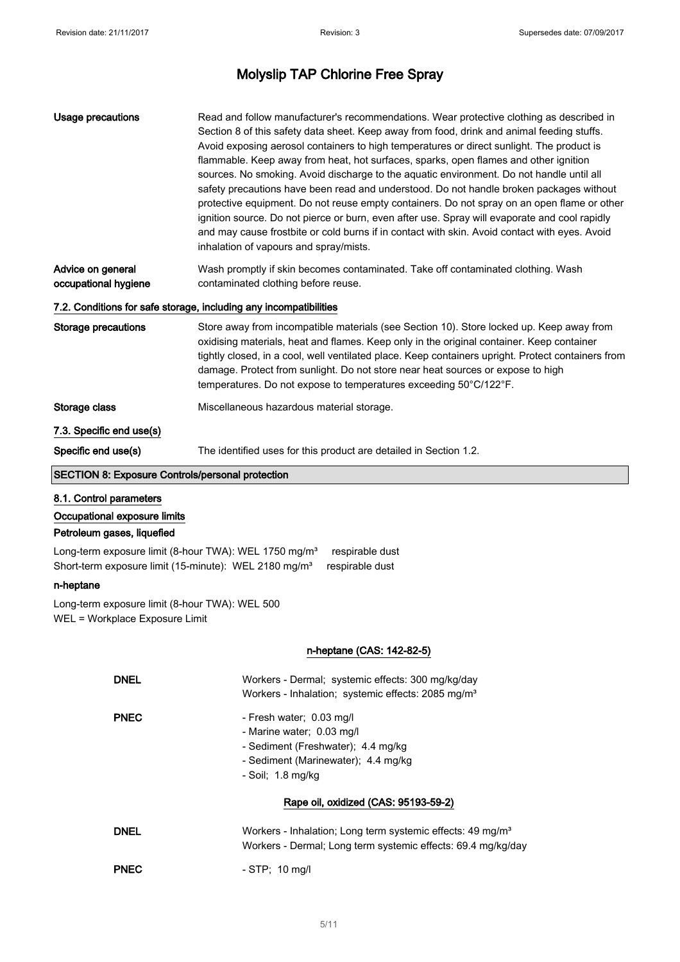| <b>Usage precautions</b>                                                                                                                                                                                                                                                                                                                                                                                                                                                          | Read and follow manufacturer's recommendations. Wear protective clothing as described in<br>Section 8 of this safety data sheet. Keep away from food, drink and animal feeding stuffs.<br>Avoid exposing aerosol containers to high temperatures or direct sunlight. The product is<br>flammable. Keep away from heat, hot surfaces, sparks, open flames and other ignition<br>sources. No smoking. Avoid discharge to the aquatic environment. Do not handle until all<br>safety precautions have been read and understood. Do not handle broken packages without<br>protective equipment. Do not reuse empty containers. Do not spray on an open flame or other<br>ignition source. Do not pierce or burn, even after use. Spray will evaporate and cool rapidly<br>and may cause frostbite or cold burns if in contact with skin. Avoid contact with eyes. Avoid<br>inhalation of vapours and spray/mists. |  |  |
|-----------------------------------------------------------------------------------------------------------------------------------------------------------------------------------------------------------------------------------------------------------------------------------------------------------------------------------------------------------------------------------------------------------------------------------------------------------------------------------|---------------------------------------------------------------------------------------------------------------------------------------------------------------------------------------------------------------------------------------------------------------------------------------------------------------------------------------------------------------------------------------------------------------------------------------------------------------------------------------------------------------------------------------------------------------------------------------------------------------------------------------------------------------------------------------------------------------------------------------------------------------------------------------------------------------------------------------------------------------------------------------------------------------|--|--|
| Advice on general<br>occupational hygiene                                                                                                                                                                                                                                                                                                                                                                                                                                         | Wash promptly if skin becomes contaminated. Take off contaminated clothing. Wash<br>contaminated clothing before reuse.                                                                                                                                                                                                                                                                                                                                                                                                                                                                                                                                                                                                                                                                                                                                                                                       |  |  |
|                                                                                                                                                                                                                                                                                                                                                                                                                                                                                   | 7.2. Conditions for safe storage, including any incompatibilities                                                                                                                                                                                                                                                                                                                                                                                                                                                                                                                                                                                                                                                                                                                                                                                                                                             |  |  |
| <b>Storage precautions</b><br>Store away from incompatible materials (see Section 10). Store locked up. Keep away from<br>oxidising materials, heat and flames. Keep only in the original container. Keep container<br>tightly closed, in a cool, well ventilated place. Keep containers upright. Protect containers from<br>damage. Protect from sunlight. Do not store near heat sources or expose to high<br>temperatures. Do not expose to temperatures exceeding 50°C/122°F. |                                                                                                                                                                                                                                                                                                                                                                                                                                                                                                                                                                                                                                                                                                                                                                                                                                                                                                               |  |  |
| Storage class                                                                                                                                                                                                                                                                                                                                                                                                                                                                     | Miscellaneous hazardous material storage.                                                                                                                                                                                                                                                                                                                                                                                                                                                                                                                                                                                                                                                                                                                                                                                                                                                                     |  |  |
| 7.3. Specific end use(s)                                                                                                                                                                                                                                                                                                                                                                                                                                                          |                                                                                                                                                                                                                                                                                                                                                                                                                                                                                                                                                                                                                                                                                                                                                                                                                                                                                                               |  |  |
| Specific end use(s)                                                                                                                                                                                                                                                                                                                                                                                                                                                               | The identified uses for this product are detailed in Section 1.2.                                                                                                                                                                                                                                                                                                                                                                                                                                                                                                                                                                                                                                                                                                                                                                                                                                             |  |  |
| <b>SECTION 8: Exposure Controls/personal protection</b>                                                                                                                                                                                                                                                                                                                                                                                                                           |                                                                                                                                                                                                                                                                                                                                                                                                                                                                                                                                                                                                                                                                                                                                                                                                                                                                                                               |  |  |
| 8.1. Control parameters<br>Occupational exposure limits<br>Petroleum gases, liquefied<br>Long-term exposure limit (8-hour TWA): WEL 1750 mg/m <sup>3</sup>                                                                                                                                                                                                                                                                                                                        | respirable dust                                                                                                                                                                                                                                                                                                                                                                                                                                                                                                                                                                                                                                                                                                                                                                                                                                                                                               |  |  |
| Short-term exposure limit (15-minute): WEL 2180 mg/m <sup>3</sup><br>n-heptane                                                                                                                                                                                                                                                                                                                                                                                                    | respirable dust                                                                                                                                                                                                                                                                                                                                                                                                                                                                                                                                                                                                                                                                                                                                                                                                                                                                                               |  |  |
| Long-term exposure limit (8-hour TWA): WEL 500<br>WEL = Workplace Exposure Limit                                                                                                                                                                                                                                                                                                                                                                                                  |                                                                                                                                                                                                                                                                                                                                                                                                                                                                                                                                                                                                                                                                                                                                                                                                                                                                                                               |  |  |
|                                                                                                                                                                                                                                                                                                                                                                                                                                                                                   | n-heptane (CAS: 142-82-5)                                                                                                                                                                                                                                                                                                                                                                                                                                                                                                                                                                                                                                                                                                                                                                                                                                                                                     |  |  |
| <b>DNEL</b>                                                                                                                                                                                                                                                                                                                                                                                                                                                                       | Workers - Dermal; systemic effects: 300 mg/kg/day<br>Workers - Inhalation; systemic effects: 2085 mg/m <sup>3</sup>                                                                                                                                                                                                                                                                                                                                                                                                                                                                                                                                                                                                                                                                                                                                                                                           |  |  |
| <b>PNEC</b>                                                                                                                                                                                                                                                                                                                                                                                                                                                                       | - Fresh water; 0.03 mg/l<br>- Marine water; 0.03 mg/l<br>- Sediment (Freshwater); 4.4 mg/kg<br>- Sediment (Marinewater); 4.4 mg/kg<br>- Soil; 1.8 mg/kg                                                                                                                                                                                                                                                                                                                                                                                                                                                                                                                                                                                                                                                                                                                                                       |  |  |
|                                                                                                                                                                                                                                                                                                                                                                                                                                                                                   | Rape oil, oxidized (CAS: 95193-59-2)                                                                                                                                                                                                                                                                                                                                                                                                                                                                                                                                                                                                                                                                                                                                                                                                                                                                          |  |  |
| <b>DNEL</b>                                                                                                                                                                                                                                                                                                                                                                                                                                                                       | Workers - Inhalation; Long term systemic effects: 49 mg/m <sup>3</sup><br>Workers - Dermal; Long term systemic effects: 69.4 mg/kg/day                                                                                                                                                                                                                                                                                                                                                                                                                                                                                                                                                                                                                                                                                                                                                                        |  |  |
| <b>PNEC</b>                                                                                                                                                                                                                                                                                                                                                                                                                                                                       | - STP; 10 mg/l                                                                                                                                                                                                                                                                                                                                                                                                                                                                                                                                                                                                                                                                                                                                                                                                                                                                                                |  |  |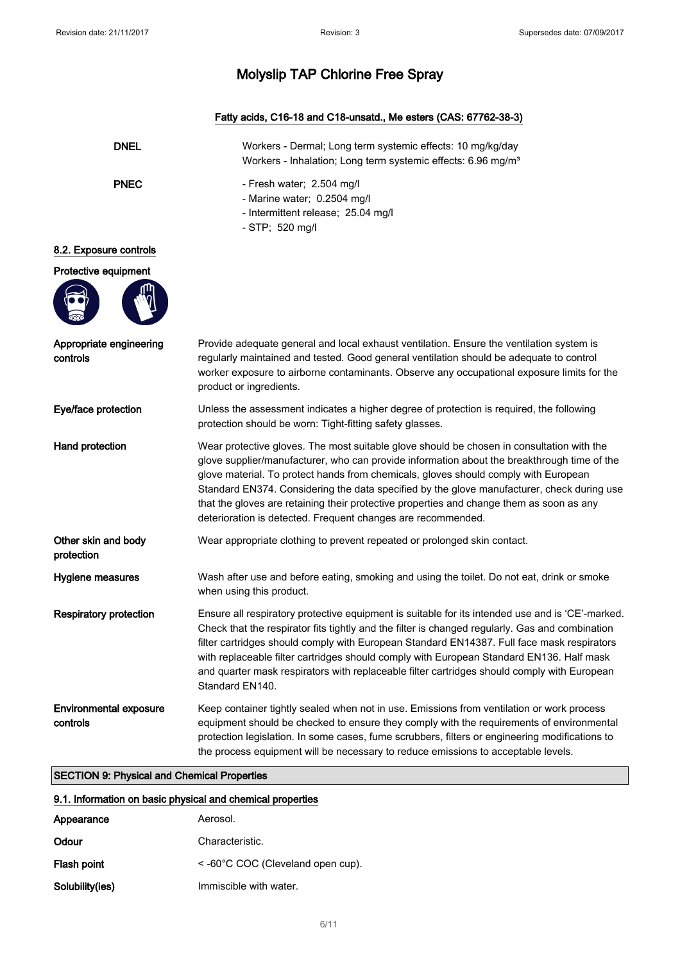## Fatty acids, C16-18 and C18-unsatd., Me esters (CAS: 67762-38-3)

| <b>DNEL</b>                                                                                                                                                                                                                                                                                                                                         | Workers - Dermal; Long term systemic effects: 10 mg/kg/day<br>Workers - Inhalation; Long term systemic effects: 6.96 mg/m <sup>3</sup>                                                                                                                                                                                                                                                                                                                                                                                                    |
|-----------------------------------------------------------------------------------------------------------------------------------------------------------------------------------------------------------------------------------------------------------------------------------------------------------------------------------------------------|-------------------------------------------------------------------------------------------------------------------------------------------------------------------------------------------------------------------------------------------------------------------------------------------------------------------------------------------------------------------------------------------------------------------------------------------------------------------------------------------------------------------------------------------|
| <b>PNEC</b>                                                                                                                                                                                                                                                                                                                                         | - Fresh water; 2.504 mg/l<br>- Marine water; 0.2504 mg/l<br>- Intermittent release; 25.04 mg/l<br>- STP; 520 mg/l                                                                                                                                                                                                                                                                                                                                                                                                                         |
| 8.2. Exposure controls                                                                                                                                                                                                                                                                                                                              |                                                                                                                                                                                                                                                                                                                                                                                                                                                                                                                                           |
| Protective equipment                                                                                                                                                                                                                                                                                                                                |                                                                                                                                                                                                                                                                                                                                                                                                                                                                                                                                           |
|                                                                                                                                                                                                                                                                                                                                                     |                                                                                                                                                                                                                                                                                                                                                                                                                                                                                                                                           |
| Appropriate engineering<br>Provide adequate general and local exhaust ventilation. Ensure the ventilation system is<br>controls<br>regularly maintained and tested. Good general ventilation should be adequate to control<br>worker exposure to airborne contaminants. Observe any occupational exposure limits for the<br>product or ingredients. |                                                                                                                                                                                                                                                                                                                                                                                                                                                                                                                                           |
| Eye/face protection                                                                                                                                                                                                                                                                                                                                 | Unless the assessment indicates a higher degree of protection is required, the following<br>protection should be worn: Tight-fitting safety glasses.                                                                                                                                                                                                                                                                                                                                                                                      |
| Hand protection                                                                                                                                                                                                                                                                                                                                     | Wear protective gloves. The most suitable glove should be chosen in consultation with the<br>glove supplier/manufacturer, who can provide information about the breakthrough time of the<br>glove material. To protect hands from chemicals, gloves should comply with European<br>Standard EN374. Considering the data specified by the glove manufacturer, check during use<br>that the gloves are retaining their protective properties and change them as soon as any<br>deterioration is detected. Frequent changes are recommended. |
| Other skin and body<br>protection                                                                                                                                                                                                                                                                                                                   | Wear appropriate clothing to prevent repeated or prolonged skin contact.                                                                                                                                                                                                                                                                                                                                                                                                                                                                  |
| Hygiene measures                                                                                                                                                                                                                                                                                                                                    | Wash after use and before eating, smoking and using the toilet. Do not eat, drink or smoke<br>when using this product.                                                                                                                                                                                                                                                                                                                                                                                                                    |
| <b>Respiratory protection</b>                                                                                                                                                                                                                                                                                                                       | Ensure all respiratory protective equipment is suitable for its intended use and is 'CE'-marked.<br>Check that the respirator fits tightly and the filter is changed regularly. Gas and combination<br>filter cartridges should comply with European Standard EN14387. Full face mask respirators<br>with replaceable filter cartridges should comply with European Standard EN136. Half mask<br>and quarter mask respirators with replaceable filter cartridges should comply with European<br>Standard EN140.                           |
| <b>Environmental exposure</b><br>controls                                                                                                                                                                                                                                                                                                           | Keep container tightly sealed when not in use. Emissions from ventilation or work process<br>equipment should be checked to ensure they comply with the requirements of environmental<br>protection legislation. In some cases, fume scrubbers, filters or engineering modifications to<br>the process equipment will be necessary to reduce emissions to acceptable levels.                                                                                                                                                              |

## SECTION 9: Physical and Chemical Properties

| 9.1. Information on basic physical and chemical properties |                                       |  |
|------------------------------------------------------------|---------------------------------------|--|
| Appearance                                                 | Aerosol.                              |  |
| Odour                                                      | Characteristic.                       |  |
| Flash point                                                | $\le$ -60°C COC (Cleveland open cup). |  |
| Solubility(ies)                                            | Immiscible with water.                |  |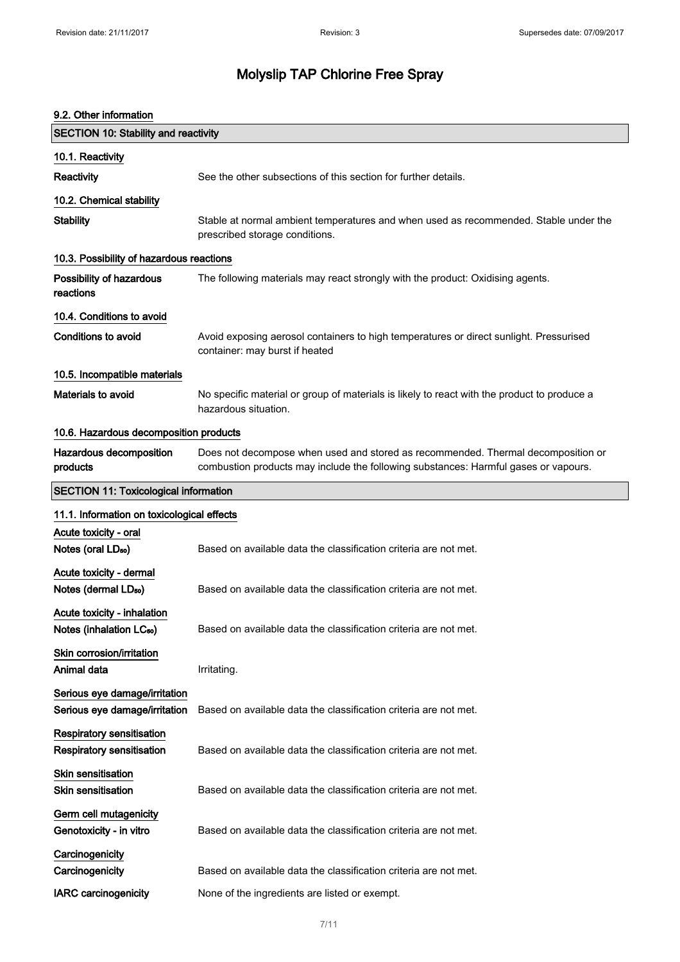| 9.2. Other information                                              |                                                                                                                                                                         |  |
|---------------------------------------------------------------------|-------------------------------------------------------------------------------------------------------------------------------------------------------------------------|--|
| <b>SECTION 10: Stability and reactivity</b>                         |                                                                                                                                                                         |  |
| 10.1. Reactivity                                                    |                                                                                                                                                                         |  |
| Reactivity                                                          | See the other subsections of this section for further details.                                                                                                          |  |
| 10.2. Chemical stability                                            |                                                                                                                                                                         |  |
| <b>Stability</b>                                                    | Stable at normal ambient temperatures and when used as recommended. Stable under the<br>prescribed storage conditions.                                                  |  |
| 10.3. Possibility of hazardous reactions                            |                                                                                                                                                                         |  |
| Possibility of hazardous<br>reactions                               | The following materials may react strongly with the product: Oxidising agents.                                                                                          |  |
| 10.4. Conditions to avoid                                           |                                                                                                                                                                         |  |
| Conditions to avoid                                                 | Avoid exposing aerosol containers to high temperatures or direct sunlight. Pressurised<br>container: may burst if heated                                                |  |
| 10.5. Incompatible materials                                        |                                                                                                                                                                         |  |
| <b>Materials to avoid</b>                                           | No specific material or group of materials is likely to react with the product to produce a<br>hazardous situation.                                                     |  |
| 10.6. Hazardous decomposition products                              |                                                                                                                                                                         |  |
| Hazardous decomposition<br>products                                 | Does not decompose when used and stored as recommended. Thermal decomposition or<br>combustion products may include the following substances: Harmful gases or vapours. |  |
| <b>SECTION 11: Toxicological information</b>                        |                                                                                                                                                                         |  |
| 11.1. Information on toxicological effects                          |                                                                                                                                                                         |  |
| Acute toxicity - oral                                               |                                                                                                                                                                         |  |
| Notes (oral LD <sub>50</sub> )                                      | Based on available data the classification criteria are not met.                                                                                                        |  |
| Acute toxicity - dermal<br>Notes (dermal LDso)                      | Based on available data the classification criteria are not met.                                                                                                        |  |
| Acute toxicity - inhalation<br>Notes (inhalation LC <sub>50</sub> ) | Based on available data the classification criteria are not met.                                                                                                        |  |
| Skin corrosion/irritation<br>Animal data                            | Irritating.                                                                                                                                                             |  |
| Serious eye damage/irritation<br>Serious eye damage/irritation      | Based on available data the classification criteria are not met.                                                                                                        |  |
| Respiratory sensitisation<br><b>Respiratory sensitisation</b>       | Based on available data the classification criteria are not met.                                                                                                        |  |
| Skin sensitisation<br><b>Skin sensitisation</b>                     | Based on available data the classification criteria are not met.                                                                                                        |  |
| Germ cell mutagenicity<br>Genotoxicity - in vitro                   | Based on available data the classification criteria are not met.                                                                                                        |  |
| Carcinogenicity<br>Carcinogenicity                                  | Based on available data the classification criteria are not met.                                                                                                        |  |
| <b>IARC</b> carcinogenicity                                         | None of the ingredients are listed or exempt.                                                                                                                           |  |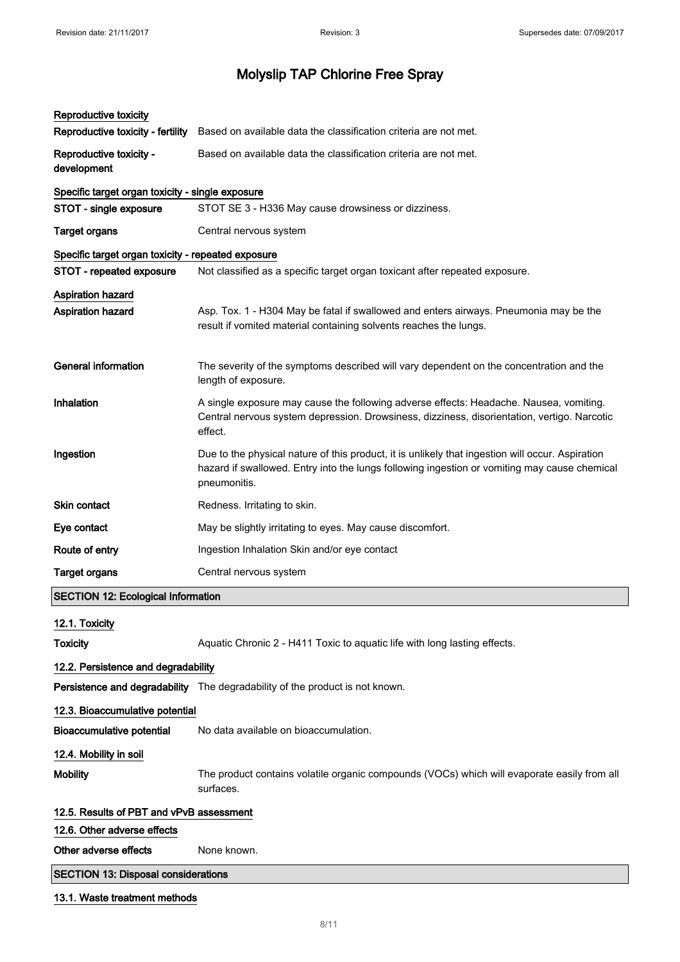| Reproductive toxicity<br>Reproductive toxicity - fertility                     | Based on available data the classification criteria are not met.                                                                                                                                                 |  |
|--------------------------------------------------------------------------------|------------------------------------------------------------------------------------------------------------------------------------------------------------------------------------------------------------------|--|
| Reproductive toxicity -<br>development                                         | Based on available data the classification criteria are not met.                                                                                                                                                 |  |
|                                                                                |                                                                                                                                                                                                                  |  |
| Specific target organ toxicity - single exposure<br>STOT - single exposure     | STOT SE 3 - H336 May cause drowsiness or dizziness.                                                                                                                                                              |  |
| <b>Target organs</b>                                                           | Central nervous system                                                                                                                                                                                           |  |
|                                                                                |                                                                                                                                                                                                                  |  |
| Specific target organ toxicity - repeated exposure<br>STOT - repeated exposure | Not classified as a specific target organ toxicant after repeated exposure.                                                                                                                                      |  |
|                                                                                |                                                                                                                                                                                                                  |  |
| <b>Aspiration hazard</b><br><b>Aspiration hazard</b>                           | Asp. Tox. 1 - H304 May be fatal if swallowed and enters airways. Pneumonia may be the<br>result if vomited material containing solvents reaches the lungs.                                                       |  |
| <b>General information</b>                                                     | The severity of the symptoms described will vary dependent on the concentration and the<br>length of exposure.                                                                                                   |  |
| Inhalation                                                                     | A single exposure may cause the following adverse effects: Headache. Nausea, vomiting.<br>Central nervous system depression. Drowsiness, dizziness, disorientation, vertigo. Narcotic<br>effect.                 |  |
| Ingestion                                                                      | Due to the physical nature of this product, it is unlikely that ingestion will occur. Aspiration<br>hazard if swallowed. Entry into the lungs following ingestion or vomiting may cause chemical<br>pneumonitis. |  |
| Skin contact                                                                   | Redness. Irritating to skin.                                                                                                                                                                                     |  |
| Eye contact                                                                    | May be slightly irritating to eyes. May cause discomfort.                                                                                                                                                        |  |
| Route of entry                                                                 | Ingestion Inhalation Skin and/or eye contact                                                                                                                                                                     |  |
| <b>Target organs</b>                                                           | Central nervous system                                                                                                                                                                                           |  |
| <b>SECTION 12: Ecological Information</b>                                      |                                                                                                                                                                                                                  |  |
| 12.1. Toxicity                                                                 |                                                                                                                                                                                                                  |  |
| <b>Toxicity</b>                                                                | Aquatic Chronic 2 - H411 Toxic to aquatic life with long lasting effects.                                                                                                                                        |  |
| 12.2. Persistence and degradability                                            |                                                                                                                                                                                                                  |  |
|                                                                                | Persistence and degradability The degradability of the product is not known.                                                                                                                                     |  |
| 12.3. Bioaccumulative potential                                                |                                                                                                                                                                                                                  |  |
| <b>Bioaccumulative potential</b>                                               | No data available on bioaccumulation.                                                                                                                                                                            |  |
| 12.4. Mobility in soil                                                         |                                                                                                                                                                                                                  |  |
| <b>Mobility</b>                                                                | The product contains volatile organic compounds (VOCs) which will evaporate easily from all<br>surfaces.                                                                                                         |  |
| 12.5. Results of PBT and vPvB assessment                                       |                                                                                                                                                                                                                  |  |
| 12.6. Other adverse effects                                                    |                                                                                                                                                                                                                  |  |
| Other adverse effects                                                          | None known.                                                                                                                                                                                                      |  |
| <b>SECTION 13: Disposal considerations</b>                                     |                                                                                                                                                                                                                  |  |
|                                                                                |                                                                                                                                                                                                                  |  |

## 13.1. Waste treatment methods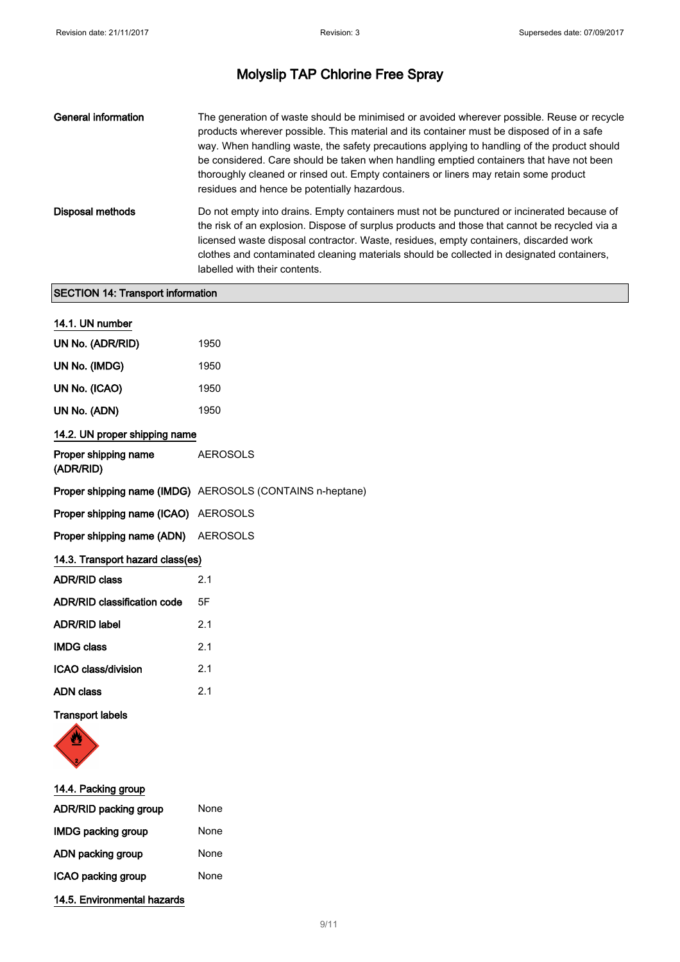| <b>General information</b> | The generation of waste should be minimised or avoided wherever possible. Reuse or recycle<br>products wherever possible. This material and its container must be disposed of in a safe<br>way. When handling waste, the safety precautions applying to handling of the product should<br>be considered. Care should be taken when handling emptied containers that have not been<br>thoroughly cleaned or rinsed out. Empty containers or liners may retain some product<br>residues and hence be potentially hazardous. |
|----------------------------|---------------------------------------------------------------------------------------------------------------------------------------------------------------------------------------------------------------------------------------------------------------------------------------------------------------------------------------------------------------------------------------------------------------------------------------------------------------------------------------------------------------------------|
| Disposal methods           | Do not empty into drains. Empty containers must not be punctured or incinerated because of<br>the risk of an explosion. Dispose of surplus products and those that cannot be recycled via a<br>licensed waste disposal contractor. Waste, residues, empty containers, discarded work<br>clothes and contaminated cleaning materials should be collected in designated containers,<br>labelled with their contents.                                                                                                        |

## SECTION 14: Transport information

| 14.1. UN number                    |                                                           |  |
|------------------------------------|-----------------------------------------------------------|--|
| UN No. (ADR/RID)                   | 1950                                                      |  |
| UN No. (IMDG)                      | 1950                                                      |  |
| UN No. (ICAO)                      | 1950                                                      |  |
| UN No. (ADN)                       | 1950                                                      |  |
| 14.2. UN proper shipping name      |                                                           |  |
| Proper shipping name<br>(ADR/RID)  | <b>AEROSOLS</b>                                           |  |
|                                    | Proper shipping name (IMDG) AEROSOLS (CONTAINS n-heptane) |  |
| Proper shipping name (ICAO)        | <b>AEROSOLS</b>                                           |  |
| Proper shipping name (ADN)         | <b>AEROSOLS</b>                                           |  |
| 14.3. Transport hazard class(es)   |                                                           |  |
| <b>ADR/RID class</b>               | 2.1                                                       |  |
| <b>ADR/RID classification code</b> | 5F                                                        |  |
| <b>ADR/RID label</b>               | 2.1                                                       |  |
| <b>IMDG class</b>                  | 2.1                                                       |  |
| <b>ICAO class/division</b>         | 2.1                                                       |  |
| <b>ADN</b> class                   | 2.1                                                       |  |
| <b>Transport labels</b>            |                                                           |  |



| 14.4. Packing group          |      |
|------------------------------|------|
| <b>ADR/RID packing group</b> | None |
| <b>IMDG packing group</b>    | None |
| ADN packing group            | None |
| ICAO packing group           | None |
| 14.5. Environmental hazards  |      |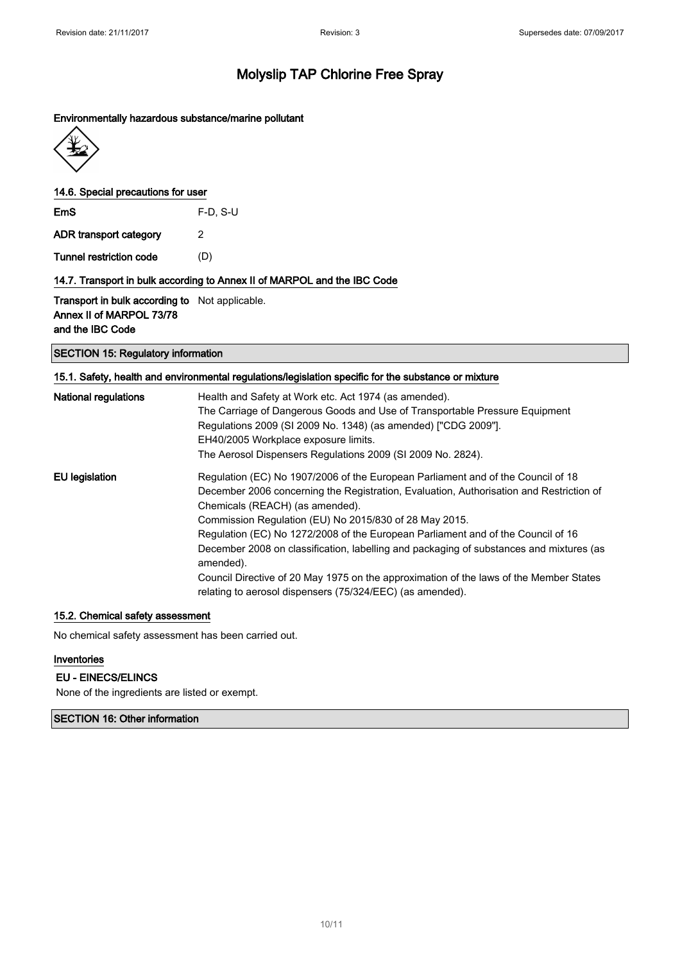### Environmentally hazardous substance/marine pollutant



### 14.6. Special precautions for user

EmS F-D, S-U

ADR transport category 2

Tunnel restriction code (D)

### 14.7. Transport in bulk according to Annex II of MARPOL and the IBC Code

Transport in bulk according to Not applicable. Annex II of MARPOL 73/78 and the IBC Code

### SECTION 15: Regulatory information

### 15.1. Safety, health and environmental regulations/legislation specific for the substance or mixture

| <b>National regulations</b> | Health and Safety at Work etc. Act 1974 (as amended).<br>The Carriage of Dangerous Goods and Use of Transportable Pressure Equipment<br>Regulations 2009 (SI 2009 No. 1348) (as amended) ["CDG 2009"].<br>EH40/2005 Workplace exposure limits.<br>The Aerosol Dispensers Regulations 2009 (SI 2009 No. 2824).                                                                                                                                                        |
|-----------------------------|----------------------------------------------------------------------------------------------------------------------------------------------------------------------------------------------------------------------------------------------------------------------------------------------------------------------------------------------------------------------------------------------------------------------------------------------------------------------|
| <b>EU</b> legislation       | Regulation (EC) No 1907/2006 of the European Parliament and of the Council of 18<br>December 2006 concerning the Registration, Evaluation, Authorisation and Restriction of<br>Chemicals (REACH) (as amended).<br>Commission Regulation (EU) No 2015/830 of 28 May 2015.<br>Regulation (EC) No 1272/2008 of the European Parliament and of the Council of 16<br>December 2008 on classification, labelling and packaging of substances and mixtures (as<br>amended). |
|                             | Council Directive of 20 May 1975 on the approximation of the laws of the Member States<br>relating to aerosol dispensers (75/324/EEC) (as amended).                                                                                                                                                                                                                                                                                                                  |

#### 15.2. Chemical safety assessment

No chemical safety assessment has been carried out.

### Inventories

### EU - EINECS/ELINCS

None of the ingredients are listed or exempt.

### SECTION 16: Other information